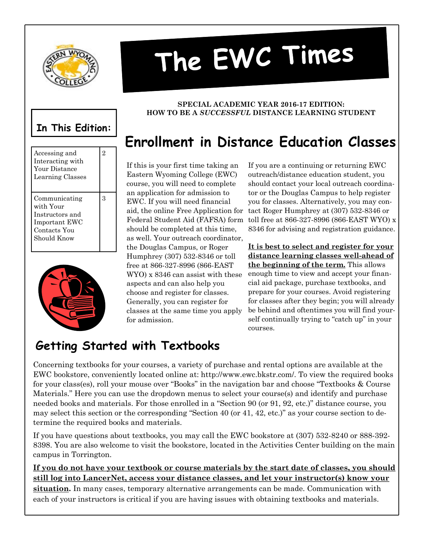

Accessing and Interacting with Your Distance Learning Classes

Communicating with Your Instructors and Important EWC Contacts You Should Know

2

3

# The EWC Times

#### **In This Edition: HOW TO BE A** *SUCCESSFUL* **DISTANCE LEARNING STUDENT**

# **Enrollment in Distance Education Classes**

**SPECIAL ACADEMIC YEAR 2016-17 EDITION:**

If this is your first time taking an Eastern Wyoming College (EWC) course, you will need to complete an application for admission to EWC. If you will need financial aid, the online Free Application for Federal Student Aid (FAFSA) form should be completed at this time, as well. Your outreach coordinator, the Douglas Campus, or Roger Humphrey (307) 532-8346 or toll free at 866-327-8996 (866-EAST WYO) x 8346 can assist with these aspects and can also help you choose and register for classes. Generally, you can register for classes at the same time you apply for admission.

If you are a continuing or returning EWC outreach/distance education student, you should contact your local outreach coordinator or the Douglas Campus to help register you for classes. Alternatively, you may contact Roger Humphrey at (307) 532-8346 or toll free at 866-327-8996 (866-EAST WYO) x 8346 for advising and registration guidance.

**It is best to select and register for your distance learning classes well-ahead of the beginning of the term.** This allows enough time to view and accept your financial aid package, purchase textbooks, and prepare for your courses. Avoid registering for classes after they begin; you will already be behind and oftentimes you will find yourself continually trying to "catch up" in your courses.

## **Getting Started with Textbooks**

Concerning textbooks for your courses, a variety of purchase and rental options are available at the EWC bookstore, conveniently located online at: http://www.ewc.bkstr.com/. To view the required books for your class(es), roll your mouse over "Books" in the navigation bar and choose "Textbooks & Course Materials." Here you can use the dropdown menus to select your course(s) and identify and purchase needed books and materials. For those enrolled in a "Section 90 (or 91, 92, etc.)" distance course, you may select this section or the corresponding "Section 40 (or 41, 42, etc.)" as your course section to determine the required books and materials.

If you have questions about textbooks, you may call the EWC bookstore at (307) 532-8240 or 888-392- 8398. You are also welcome to visit the bookstore, located in the Activities Center building on the main campus in Torrington.

#### **If you do not have your textbook or course materials by the start date of classes, you should still log into LancerNet, access your distance classes, and let your instructor(s) know your**

**situation.** In many cases, temporary alternative arrangements can be made. Communication with each of your instructors is critical if you are having issues with obtaining textbooks and materials.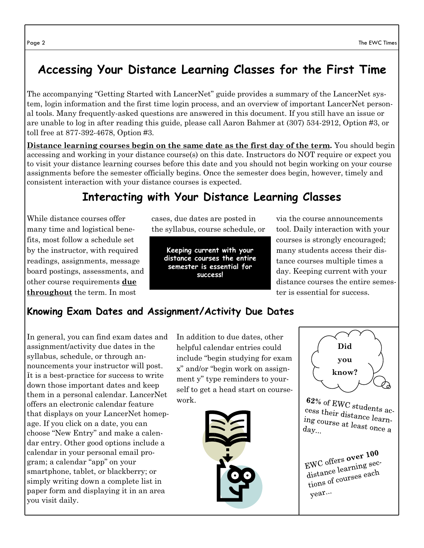## **Accessing Your Distance Learning Classes for the First Time**

The accompanying "Getting Started with LancerNet" guide provides a summary of the LancerNet system, login information and the first time login process, and an overview of important LancerNet personal tools. Many frequently-asked questions are answered in this document. If you still have an issue or are unable to log in after reading this guide, please call Aaron Bahmer at (307) 534-2912, Option #3, or toll free at 877-392-4678, Option #3.

**Distance learning courses begin on the same date as the first day of the term.** You should begin accessing and working in your distance course(s) on this date. Instructors do NOT require or expect you to visit your distance learning courses before this date and you should not begin working on your course assignments before the semester officially begins. Once the semester does begin, however, timely and consistent interaction with your distance courses is expected.

#### **Interacting with Your Distance Learning Classes**

While distance courses offer many time and logistical benefits, most follow a schedule set by the instructor, with required readings, assignments, message board postings, assessments, and other course requirements **due throughout** the term. In most

cases, due dates are posted in the syllabus, course schedule, or

**Keeping current with your distance courses the entire semester is essential for success!**

via the course announcements tool. Daily interaction with your courses is strongly encouraged; many students access their distance courses multiple times a day. Keeping current with your distance courses the entire semester is essential for success.

#### **Knowing Exam Dates and Assignment/Activity Due Dates**

In general, you can find exam dates and assignment/activity due dates in the syllabus, schedule, or through announcements your instructor will post. It is a best-practice for success to write down those important dates and keep them in a personal calendar. LancerNet offers an electronic calendar feature that displays on your LancerNet homepage. If you click on a date, you can choose "New Entry" and make a calendar entry. Other good options include a calendar in your personal email program; a calendar "app" on your smartphone, tablet, or blackberry; or simply writing down a complete list in paper form and displaying it in an area you visit daily.

In addition to due dates, other helpful calendar entries could include "begin studying for exam x" and/or "begin work on assignment y" type reminders to yourself to get a head start on coursework.





 $62\%$  of EWC students access their distances cess their distance learn-<br>ing course at l. ing course at least once a<br>day...

EWC offers over 100  $FWC$  offers over  $r$ <br>distance learning sec-<br>distance courses each distance learning  $\frac{1}{\sqrt{2}}$